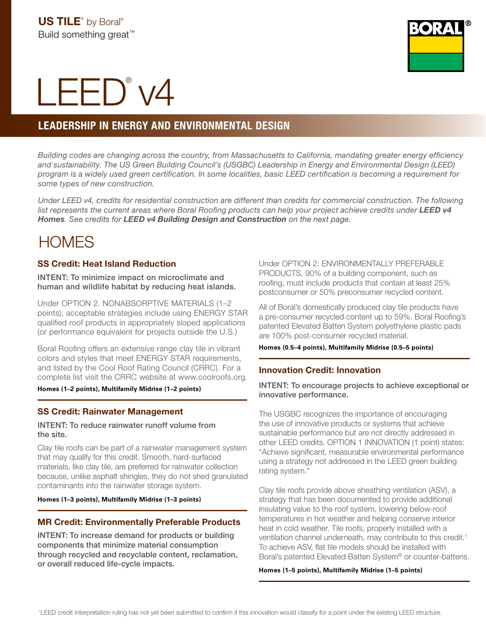

# LEED<sup>®</sup> v4

# LEADERSHIP IN ENERGY AND ENVIRONMENTAL DESIGN

*Building codes are changing across the country, from Massachusetts to California, mandating greater energy efficiency and sustainability. The US Green Building Council's (USGBC) Leadership in Energy and Environmental Design (LEED) program is a widely used green certification. In some localities, basic LEED certification is becoming a requirement for some types of new construction.*

*Under LEED v4, credits for residential construction are different than credits for commercial construction. The following*  list represents the current areas where Boral Roofing products can help your project achieve credits under **LEED v4** *Homes. See credits for LEED v4 Building Design and Construction on the next page.* 

# **HOMES**

# SS Credit: Heat Island Reduction

INTENT: To minimize impact on microclimate and human and wildlife habitat by reducing heat islands.

Under OPTION 2. NONABSORPTIVE MATERIALS (1–2 points), acceptable strategies include using ENERGY STAR qualified roof products in appropriately sloped applications (or performance equivalent for projects outside the U.S.)

Boral Roofing offers an extensive range clay tile in vibrant colors and styles that meet ENERGY STAR requirements, and listed by the Cool Roof Rating Council (CRRC). For a complete list visit the CRRC website at www.coolroofs.org.

**Homes (1–2 points), Multifamily Midrise (1–2 points)**

# SS Credit: Rainwater Management

INTENT: To reduce rainwater runoff volume from the site.

Clay tile roofs can be part of a rainwater management system that may qualify for this credit. Smooth, hard-surfaced materials, like clay tile, are preferred for rainwater collection because, unlike asphalt shingles, they do not shed granulated contaminants into the rainwater storage system.

#### **Homes (1–3 points), Multifamily Midrise (1–3 points)**

# MR Credit: Environmentally Preferable Products

INTENT: To increase demand for products or building components that minimize material consumption through recycled and recyclable content, reclamation, or overall reduced life-cycle impacts.

Under OPTION 2: ENVIRONMENTALLY PREFERABLE PRODUCTS, 90% of a building component, such as roofing, must include products that contain at least 25% postconsumer or 50% preconsumer recycled content.

All of Boral's domestically produced clay tile products have a pre-consumer recycled content up to 59%. Boral Roofing's patented Elevated Batten System polyethylene plastic pads are 100% post-consumer recycled material.

#### **Homes (0.5–4 points), Multifamily Midrise (0.5–5 points)**

# Innovation Credit: Innovation

INTENT: To encourage projects to achieve exceptional or innovative performance.

The USGBC recognizes the importance of encouraging the use of innovative products or systems that achieve sustainable performance but are not directly addressed in other LEED credits. OPTION 1 INNOVATION (1 point) states: "Achieve significant, measurable environmental performance using a strategy not addressed in the LEED green building rating system."

Clay tile roofs provide above sheathing ventilation (ASV), a strategy that has been documented to provide additional insulating value to the roof system, lowering below-roof temperatures in hot weather and helping conserve interior heat in cold weather. Tile roofs, properly installed with a ventilation channel underneath, may contribute to this credit.<sup>1</sup> To achieve ASV, flat tile models should be installed with Boral's patented Elevated Batten System® or counter-battens.

#### **Homes (1–5 points), Multifamily Midrise (1–5 points)**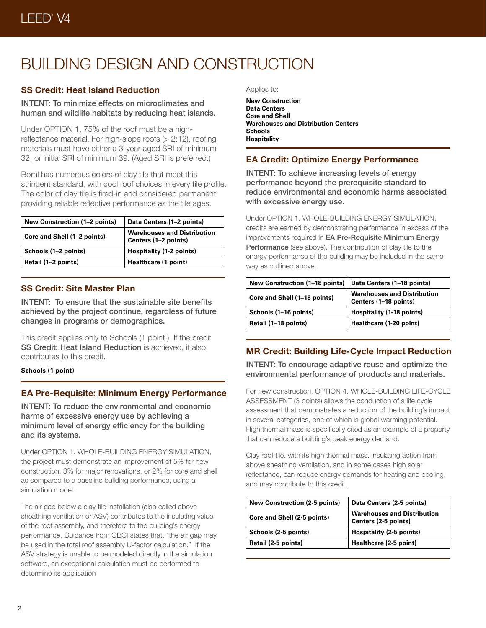# BUILDING DESIGN AND CONSTRUCTION

# SS Credit: Heat Island Reduction

INTENT: To minimize effects on microclimates and human and wildlife habitats by reducing heat islands.

Under OPTION 1, 75% of the roof must be a highreflectance material. For high-slope roofs (> 2:12), roofing materials must have either a 3-year aged SRI of minimum 32, or initial SRI of minimum 39. (Aged SRI is preferred.)

Boral has numerous colors of clay tile that meet this stringent standard, with cool roof choices in every tile profile. The color of clay tile is fired-in and considered permanent, providing reliable reflective performance as the tile ages.

| <b>New Construction (1–2 points)</b> | Data Centers (1-2 points)                                  |
|--------------------------------------|------------------------------------------------------------|
| Core and Shell (1-2 points)          | <b>Warehouses and Distribution</b><br>Centers (1-2 points) |
| Schools (1–2 points)                 | Hospitality (1-2 points)                                   |
| Retail (1–2 points)                  | Healthcare (1 point)                                       |

# SS Credit: Site Master Plan

INTENT: To ensure that the sustainable site benefits achieved by the project continue, regardless of future changes in programs or demographics.

This credit applies only to Schools (1 point.) If the credit SS Credit: Heat Island Reduction is achieved, it also contributes to this credit.

#### **Schools (1 point)**

# EA Pre-Requisite: Minimum Energy Performance

INTENT: To reduce the environmental and economic harms of excessive energy use by achieving a minimum level of energy efficiency for the building and its systems.

Under OPTION 1. WHOLE-BUILDING ENERGY SIMULATION, the project must demonstrate an improvement of 5% for new construction, 3% for major renovations, or 2% for core and shell as compared to a baseline building performance, using a simulation model.

The air gap below a clay tile installation (also called above sheathing ventilation or ASV) contributes to the insulating value of the roof assembly, and therefore to the building's energy performance. Guidance from GBCI states that, "the air gap may be used in the total roof assembly U-factor calculation." If the ASV strategy is unable to be modeled directly in the simulation software, an exceptional calculation must be performed to determine its application

#### Applies to:

**New Construction Data Centers Core and Shell Warehouses and Distribution Centers Schools Hospitality**

# EA Credit: Optimize Energy Performance

INTENT: To achieve increasing levels of energy performance beyond the prerequisite standard to reduce environmental and economic harms associated with excessive energy use.

Under OPTION 1. WHOLE-BUILDING ENERGY SIMULATION, credits are earned by demonstrating performance in excess of the improvements required in EA Pre-Requisite Minimum Energy Performance (see above). The contribution of clay tile to the energy performance of the building may be included in the same way as outlined above.

| <b>New Construction (1-18 points)</b> | Data Centers (1-18 points)                                  |
|---------------------------------------|-------------------------------------------------------------|
| Core and Shell (1-18 points)          | <b>Warehouses and Distribution</b><br>Centers (1-18 points) |
| Schools (1–16 points)                 | Hospitality (1-18 points)                                   |
| Retail (1-18 points)                  | Healthcare (1-20 point)                                     |

# MR Credit: Building Life-Cycle Impact Reduction

INTENT: To encourage adaptive reuse and optimize the environmental performance of products and materials.

For new construction, OPTION 4. WHOLE-BUILDING LIFE-CYCLE ASSESSMENT (3 points) allows the conduction of a life cycle assessment that demonstrates a reduction of the building's impact in several categories, one of which is global warming potential. High thermal mass is specifically cited as an example of a property that can reduce a building's peak energy demand.

Clay roof tile, with its high thermal mass, insulating action from above sheathing ventilation, and in some cases high solar reflectance, can reduce energy demands for heating and cooling, and may contribute to this credit.

| <b>New Construction (2-5 points)</b> | Data Centers (2-5 points)                                  |
|--------------------------------------|------------------------------------------------------------|
| Core and Shell (2-5 points)          | <b>Warehouses and Distribution</b><br>Centers (2-5 points) |
| Schools (2-5 points)                 | Hospitality (2-5 points)                                   |
| Retail (2-5 points)                  | Healthcare (2-5 point)                                     |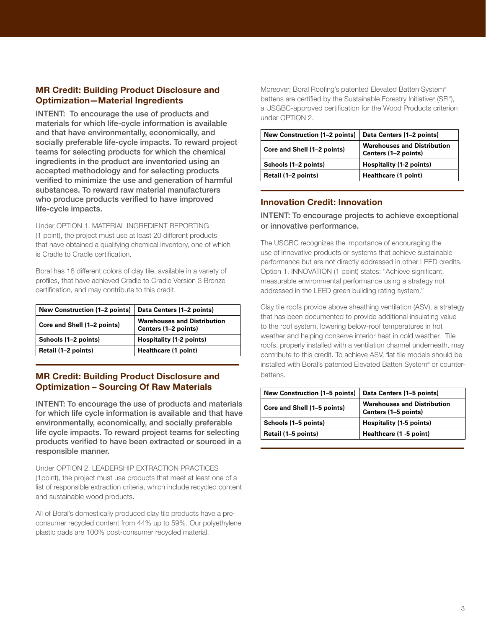# MR Credit: Building Product Disclosure and Optimization—Material Ingredients

INTENT: To encourage the use of products and materials for which life-cycle information is available and that have environmentally, economically, and socially preferable life-cycle impacts. To reward project teams for selecting products for which the chemical ingredients in the product are inventoried using an accepted methodology and for selecting products verified to minimize the use and generation of harmful substances. To reward raw material manufacturers who produce products verified to have improved life-cycle impacts.

Under OPTION 1. MATERIAL INGREDIENT REPORTING (1 point), the project must use at least 20 different products that have obtained a qualifying chemical inventory, one of which is Cradle to Cradle certification.

Boral has 18 different colors of clay tile, available in a variety of profiles, that have achieved Cradle to Cradle Version 3 Bronze certification, and may contribute to this credit.

| New Construction (1-2 points) | Data Centers (1-2 points)                                  |
|-------------------------------|------------------------------------------------------------|
| Core and Shell (1-2 points)   | <b>Warehouses and Distribution</b><br>Centers (1-2 points) |
| Schools (1–2 points)          | <b>Hospitality (1-2 points)</b>                            |
| Retail (1-2 points)           | Healthcare (1 point)                                       |

# MR Credit: Building Product Disclosure and Optimization – Sourcing Of Raw Materials

INTENT: To encourage the use of products and materials for which life cycle information is available and that have environmentally, economically, and socially preferable life cycle impacts. To reward project teams for selecting products verified to have been extracted or sourced in a responsible manner.

Under OPTION 2. LEADERSHIP EXTRACTION PRACTICES (1point), the project must use products that meet at least one of a list of responsible extraction criteria, which include recycled content and sustainable wood products.

All of Boral's domestically produced clay tile products have a preconsumer recycled content from 44% up to 59%. Our polyethylene plastic pads are 100% post-consumer recycled material.

Moreover, Boral Roofing's patented Elevated Batten System® battens are certified by the Sustainable Forestry Initiative® (SFI®), a USGBC-approved certification for the Wood Products criterion under OPTION 2.

| <b>New Construction (1-2 points)</b> | Data Centers (1-2 points)                                  |
|--------------------------------------|------------------------------------------------------------|
| Core and Shell (1-2 points)          | <b>Warehouses and Distribution</b><br>Centers (1-2 points) |
| Schools (1–2 points)                 | Hospitality (1-2 points)                                   |
| Retail (1-2 points)                  | Healthcare (1 point)                                       |

# Innovation Credit: Innovation

# INTENT: To encourage projects to achieve exceptional or innovative performance.

The USGBC recognizes the importance of encouraging the use of innovative products or systems that achieve sustainable performance but are not directly addressed in other LEED credits. Option 1. INNOVATION (1 point) states: "Achieve significant, measurable environmental performance using a strategy not addressed in the LEED green building rating system."

Clay tile roofs provide above sheathing ventilation (ASV), a strategy that has been documented to provide additional insulating value to the roof system, lowering below-roof temperatures in hot weather and helping conserve interior heat in cold weather. Tile roofs, properly installed with a ventilation channel underneath, may contribute to this credit. To achieve ASV, flat tile models should be installed with Boral's patented Elevated Batten System® or counterbattens.

| <b>New Construction (1–5 points)</b> | Data Centers (1–5 points)                                  |
|--------------------------------------|------------------------------------------------------------|
| Core and Shell (1-5 points)          | <b>Warehouses and Distribution</b><br>Centers (1-5 points) |
| Schools (1–5 points)                 | Hospitality (1-5 points)                                   |
| Retail (1–5 points)                  | Healthcare (1 -5 point)                                    |